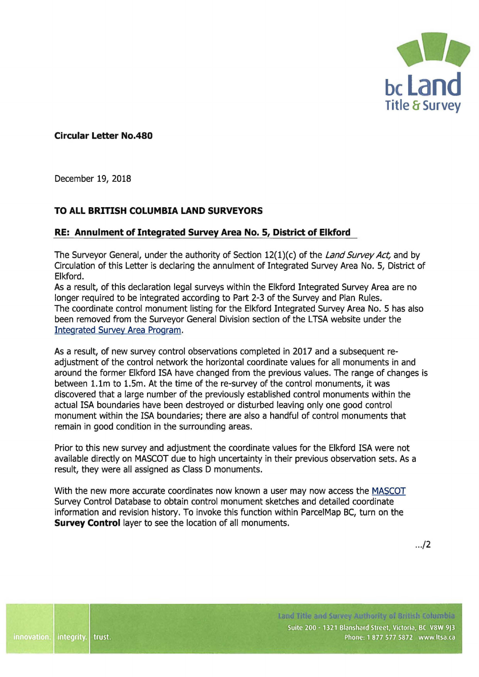

**Circular Letter No.480** 

December 19, 2018

## **TO ALL BRITISH COLUMBIA LAND SURVEYORS**

## **RE: Annulment of Integrated Survey Area No. 5, District of Elkford**

The Surveyor General, under the authority of Section 12(1)(c) of the Land Survey Act, and by Circulation of this Letter is declaring the annulment of Integrated Survey Area No. 5, District of Elkford.

As a result, of this declaration legal surveys within the Elkford Integrated Survey Area are no longer required to be integrated according to Part 2-3 of the Survey and Plan Rules. The coordinate control monument listing for the Elkford Integrated Survey Area No. 5 has also been removed from the Surveyor General Division section of the LTSA website under the [Integrated Survey Area Program](https://ltsa.ca/practice-info/integrated-survey-area-program).

As a result, of new survey control observations completed in 2017 and a subsequent readjustment of the control network the horizontal coordinate values for all monuments in and around the former Elkford ISA have changed from the previous values. The range of changes is between 1.lm to 1.Sm. At the time of the re-survey of the control monuments, it was discovered that a large number of the previously established control monuments within the actual ISA boundaries have been destroyed or disturbed leaving only one good control monument within the ISA boundaries; there are also a handful of control monuments that remain in good condition in the surrounding areas.

Prior to this new survey and adjustment the coordinate values for the Elkford ISA were not available directly on MASCOT due to high uncertainty in their previous observation sets. As a result, they were all assigned as Class D monuments.

With the new more accurate coordinates now known a user may now access the [MASCOT](http://a100.gov.bc.ca/pub/mascotw/)  Survey Control Database to obtain control monument sketches and detailed coordinate information and revision history. To invoke this function within ParcelMap BC, turn on the **Survey Control** layer to see the location of all monuments.

 $.12$